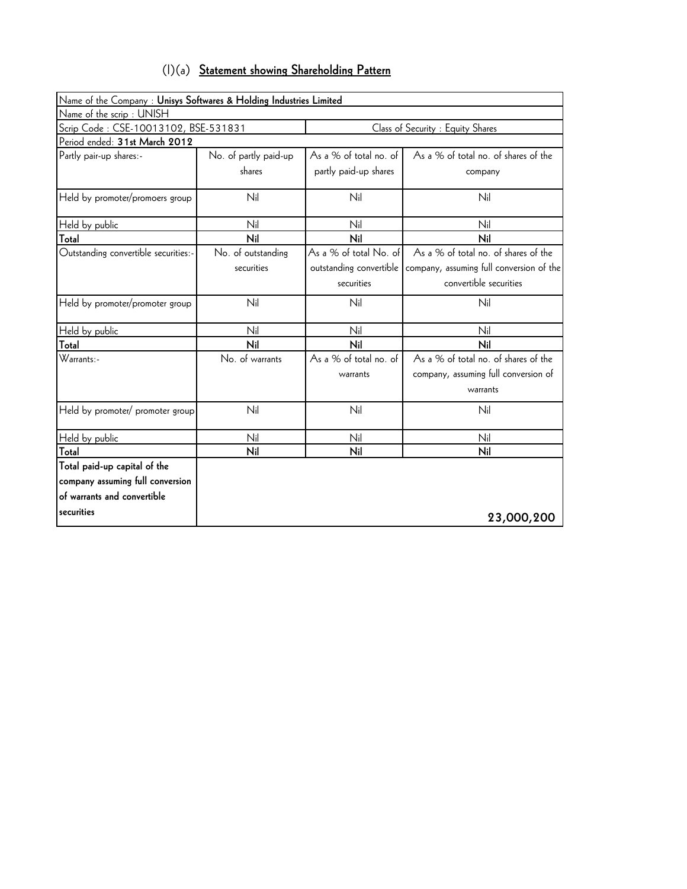| $(1)(a)$ Statement showing Shareholding Pattern |
|-------------------------------------------------|
|-------------------------------------------------|

| Name of the Company : Unisys Softwares & Holding Industries Limited |                       |                         |                                          |
|---------------------------------------------------------------------|-----------------------|-------------------------|------------------------------------------|
| Name of the scrip: UNISH                                            |                       |                         |                                          |
| Scrip Code: CSE-10013102, BSE-531831                                |                       |                         | Class of Security : Equity Shares        |
| Period ended: 31st March 2012                                       |                       |                         |                                          |
| Partly pair-up shares:-                                             | No. of partly paid-up | As a % of total no. of  | As a % of total no. of shares of the     |
|                                                                     | shares                | partly paid-up shares   | company                                  |
| Held by promoter/promoers group                                     | Nil                   | Nil                     | Nil                                      |
| Held by public                                                      | Nil                   | Nil                     | Nil                                      |
| Total                                                               | Nil                   | Nil                     | Nil                                      |
| Outstanding convertible securities:-                                | No. of outstanding    | As a % of total No. of  | As a % of total no. of shares of the     |
|                                                                     | securities            | outstanding convertible | company, assuming full conversion of the |
|                                                                     |                       | securities              | convertible securities                   |
| Held by promoter/promoter group                                     | Nil                   | Nil                     | Nil                                      |
| Held by public                                                      | Nil                   | Nil                     | Nil                                      |
| Total                                                               | Nil                   | Nil                     | Nil                                      |
| Warrants:-                                                          | No. of warrants       | As a % of total no. of  | As a % of total no. of shares of the     |
|                                                                     |                       | warrants                | company, assuming full conversion of     |
|                                                                     |                       |                         | warrants                                 |
| Held by promoter/ promoter group                                    | Nil                   | Nil                     | Nil                                      |
| Held by public                                                      | Nil                   | Nil                     | Nil                                      |
| Total                                                               | Nil                   | Nil                     | Nil                                      |
| Total paid-up capital of the                                        |                       |                         |                                          |
| company assuming full conversion                                    |                       |                         |                                          |
| of warrants and convertible                                         |                       |                         |                                          |
| securities                                                          |                       |                         | 23,000,200                               |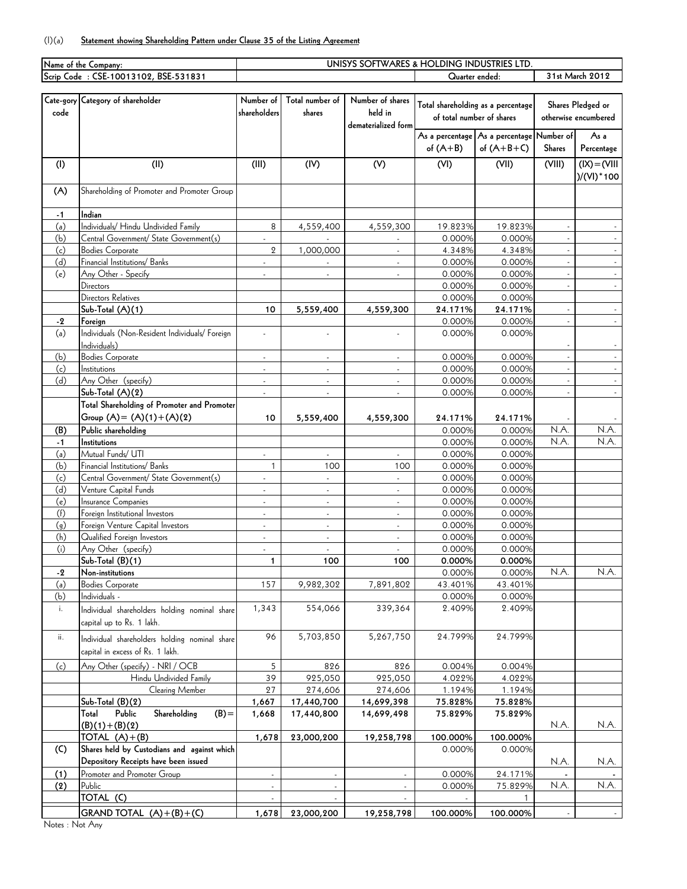## (I)(a) **Statement showing Shareholding Pattern under Clause 35 of the Listing Agreement**

|             | Name of the Company:                           | UNISYS SOFTWARES & HOLDING INDUSTRIES LTD. |                          |                          |                           |                                                         |                      |                 |
|-------------|------------------------------------------------|--------------------------------------------|--------------------------|--------------------------|---------------------------|---------------------------------------------------------|----------------------|-----------------|
|             | Scrip Code: CSE-10013102, BSE-531831           |                                            |                          |                          | Quarter ended:            |                                                         | 31st March 2012      |                 |
|             |                                                |                                            |                          |                          |                           |                                                         |                      |                 |
|             | Cate-gory Category of shareholder              | Number of                                  | Total number of          | Number of shares         |                           | Total shareholding as a percentage<br>Shares Pledged or |                      |                 |
| code        |                                                | shareholders                               | shares                   | held in                  | of total number of shares |                                                         | otherwise encumbered |                 |
|             |                                                |                                            |                          | dematerialized form      |                           |                                                         |                      |                 |
|             |                                                |                                            |                          |                          |                           | As a percentage As a percentage                         | Number of            | As a            |
|             |                                                |                                            |                          |                          | of $(A+B)$                | of $(A+B+C)$                                            | <b>Shares</b>        | Percentage      |
| (1)         | (II)                                           | (III)                                      | (IV)                     | (V)                      | (VI)                      | (VII)                                                   | (VIII)               | $IUV$ ) = (VIII |
|             |                                                |                                            |                          |                          |                           |                                                         |                      | )/(VI) * 100    |
| (A)         | Shareholding of Promoter and Promoter Group    |                                            |                          |                          |                           |                                                         |                      |                 |
|             |                                                |                                            |                          |                          |                           |                                                         |                      |                 |
| $-1$        | Indian                                         |                                            |                          |                          |                           |                                                         |                      |                 |
| (a)         | Individuals/ Hindu Undivided Family            | 8                                          | 4,559,400                | 4,559,300                | 19.823%                   | 19.823%                                                 |                      |                 |
| (b)         | Central Government/ State Government(s)        |                                            |                          |                          | 0.000%                    | 0.000%                                                  |                      |                 |
| (c)         | <b>Bodies Corporate</b>                        | $\overline{2}$                             | 1,000,000                |                          | 4.348%                    | 4.348%                                                  |                      |                 |
| (d)         | Financial Institutions/ Banks                  | ÷.                                         | $\omega$                 | $\blacksquare$           | 0.000%                    | 0.000%                                                  | $\omega$             | $\omega$        |
| (e)         | Any Other - Specify                            | $\blacksquare$                             |                          | $\blacksquare$           | 0.000%                    | 0.000%                                                  |                      | $\blacksquare$  |
|             | Directors                                      |                                            |                          |                          | 0.000%                    | 0.000%                                                  |                      | $\blacksquare$  |
|             | Directors Relatives                            |                                            |                          |                          | 0.000%                    | 0.000%                                                  |                      |                 |
|             | Sub-Total (A)(1)                               | 10                                         | 5,559,400                | 4,559,300                | 24.171%                   | 24.171%                                                 | $\sim$               | $\sim$          |
| $-2$        | Foreign                                        |                                            |                          |                          | 0.000%                    | 0.000%                                                  | $\sim$               | $\sim$          |
| (a)         | Individuals (Non-Resident Individuals/ Foreign |                                            |                          |                          | 0.000%                    | 0.000%                                                  |                      |                 |
|             | Individuals)                                   |                                            |                          |                          |                           |                                                         |                      |                 |
| (b)         | <b>Bodies Corporate</b>                        | $\mathcal{L}_{\mathcal{A}}$                | $\omega$                 | $\omega$                 | 0.000%                    | 0.000%                                                  |                      | $\omega$        |
| (c)<br>(d)  | Institutions<br>Any Other (specify)            | ÷,                                         | $\overline{\phantom{a}}$ | $\overline{\phantom{a}}$ | 0.000%<br>0.000%          | 0.000%<br>0.000%                                        |                      |                 |
|             | $Sub-Total (A)(2)$                             |                                            |                          |                          | 0.000%                    | 0.000%                                                  |                      |                 |
|             | Total Shareholding of Promoter and Promoter    |                                            |                          |                          |                           |                                                         |                      |                 |
|             | Group $(A) = (A)(1) + (A)(2)$                  |                                            |                          |                          |                           |                                                         |                      |                 |
|             | Public shareholding                            | 10                                         | 5,559,400                | 4,559,300                | 24.171%<br>0.000%         | 24.171%<br>0.000%                                       | N.A.                 | N.A.            |
| (B)         | Institutions                                   |                                            |                          |                          | 0.000%                    | 0.000%                                                  | N.A.                 | N.A.            |
| $-1$<br>(a) | Mutual Funds/ UTI                              |                                            |                          |                          | 0.000%                    | 0.000%                                                  |                      |                 |
| (b)         | Financial Institutions/ Banks                  | $\mathbf{1}$                               | 100                      | 100                      | 0.000%                    | 0.000%                                                  |                      |                 |
| (c)         | Central Government/ State Government(s)        |                                            | ÷.                       | $\omega$                 | 0.000%                    | 0.000%                                                  |                      |                 |
| (d)         | Venture Capital Funds                          | ä,                                         | $\blacksquare$           | $\overline{\phantom{a}}$ | 0.000%                    | 0.000%                                                  |                      |                 |
| (e)         | Insurance Companies                            |                                            | ÷,                       | $\omega$                 | 0.000%                    | 0.000%                                                  |                      |                 |
| (f)         | Foreign Institutional Investors                | $\overline{\phantom{a}}$                   | ÷.                       | $\blacksquare$           | 0.000%                    | 0.000%                                                  |                      |                 |
| (g)         | Foreign Venture Capital Investors              | $\mathcal{L}_{\mathcal{A}}$                | $\blacksquare$           | $\overline{\phantom{a}}$ | 0.000%                    | 0.000%                                                  |                      |                 |
| (h)         | Qualified Foreign Investors                    | ÷.                                         | ÷.                       | $\overline{\phantom{a}}$ | 0.000%                    | 0.000%                                                  |                      |                 |
| (i)         | Any Other (specify)                            | $\sim$                                     |                          | $\mathbf{r}$             | 0.000%                    | 0.000%                                                  |                      |                 |
|             | $Sub-Total (B)(1)$                             | 1                                          | 100                      | 100                      | 0.000%                    | 0.000%                                                  |                      |                 |
| -2          | Non-institutions                               |                                            |                          |                          | 0.000%                    | 0.000%                                                  | N.A.                 | N.A.            |
| (a)         | <b>Bodies Corporate</b>                        | 157                                        | 9,982,302                | 7,891,802                | 43.401%                   | 43.401%                                                 |                      |                 |
| (b)         | Individuals -                                  |                                            |                          |                          | 0.000%                    | 0.000%                                                  |                      |                 |
| i.          | Individual shareholders holding nominal share  | 1,343                                      | 554,066                  | 339,364                  | 2.409%                    | 2.409%                                                  |                      |                 |
|             | capital up to Rs. 1 lakh.                      |                                            |                          |                          |                           |                                                         |                      |                 |
| ii.         | Individual shareholders holding nominal share  | 96                                         | 5,703,850                | 5,267,750                | 24.799%                   | 24.799%                                                 |                      |                 |
|             | capital in excess of Rs. 1 lakh.               |                                            |                          |                          |                           |                                                         |                      |                 |
| (c)         | Any Other (specify) - NRI / OCB                | 5                                          | 826                      | 826                      | 0.004%                    | 0.004%                                                  |                      |                 |
|             | Hindu Undivided Family                         | 39                                         | 925,050                  | 925,050                  | 4.022%                    | 4.022%                                                  |                      |                 |
|             | Clearing Member                                | 27                                         | 274,606                  | 274,606                  | 1.194%                    | 1.194%                                                  |                      |                 |
|             | Sub-Total (B)(2)                               | 1,667                                      | 17,440,700               | 14,699,398               | 75.828%                   | 75.828%                                                 |                      |                 |
|             | Public<br>Shareholding<br>$(B) =$<br>Total     | 1,668                                      | 17,440,800               | 14,699,498               | 75.829%                   | 75.829%                                                 |                      |                 |
|             | $(B)(1)+(B)(2)$                                |                                            |                          |                          |                           |                                                         | N.A.                 | N.A.            |
|             | TOTAL $(A)+(B)$                                | 1,678                                      | 23,000,200               | 19,258,798               | 100.000%                  | 100.000%                                                |                      |                 |
| (C)         | Shares held by Custodians and against which    |                                            |                          |                          | 0.000%                    | 0.000%                                                  |                      |                 |
|             | Depository Receipts have been issued           |                                            |                          |                          |                           |                                                         | N.A.                 | N.A.            |
| (1)         | Promoter and Promoter Group                    | $\mathcal{L}_{\mathcal{A}}$                | $\blacksquare$           | $\sim$                   | 0.000%                    | 24.171%                                                 |                      |                 |
| (2)         | Public                                         | $\overline{\phantom{a}}$                   | $\blacksquare$           |                          | 0.000%                    | 75.829%                                                 | N.A.                 | N.A.            |
|             | TOTAL (C)                                      |                                            |                          |                          |                           |                                                         |                      |                 |
|             | GRAND TOTAL $(A)+(B)+(C)$                      | 1,678                                      | 23,000,200               | 19,258,798               | 100.000%                  | 100.000%                                                |                      |                 |
|             |                                                |                                            |                          |                          |                           |                                                         |                      |                 |

Notes : Not Any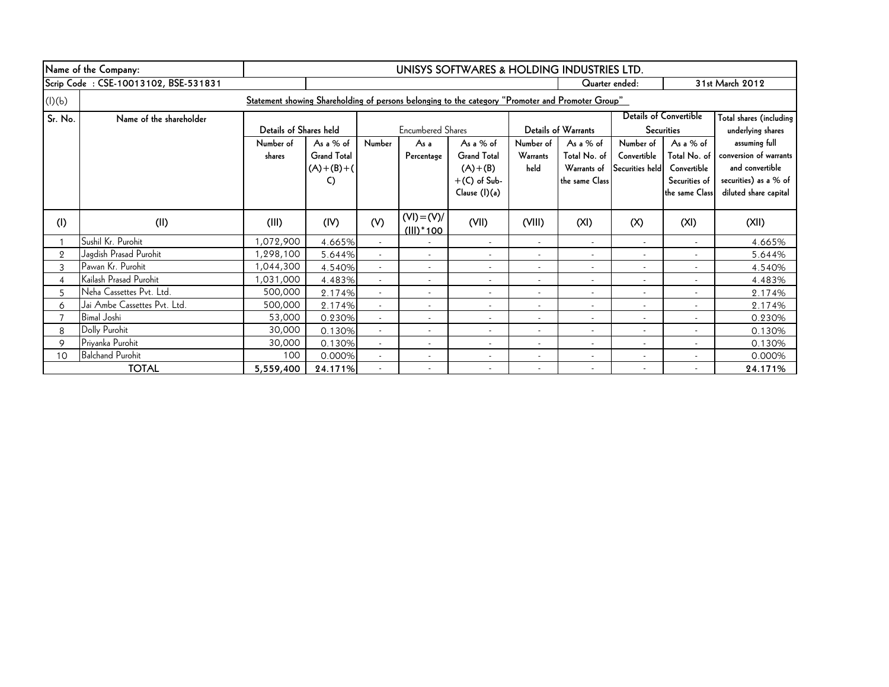|                | Name of the Company:                                                                              | UNISYS SOFTWARES & HOLDING INDUSTRIES LTD. |                                                        |                          |                               |                                                                                   |                                      |                                                            |                                             |                                                                             |                                                                                                              |
|----------------|---------------------------------------------------------------------------------------------------|--------------------------------------------|--------------------------------------------------------|--------------------------|-------------------------------|-----------------------------------------------------------------------------------|--------------------------------------|------------------------------------------------------------|---------------------------------------------|-----------------------------------------------------------------------------|--------------------------------------------------------------------------------------------------------------|
|                | Scrip Code: CSE-10013102, BSE-531831                                                              |                                            |                                                        |                          |                               |                                                                                   |                                      | Quarter ended:                                             |                                             |                                                                             | 31st March 2012                                                                                              |
| (l)(b)         | Statement showing Shareholding of persons belonging to the category "Promoter and Promoter Group" |                                            |                                                        |                          |                               |                                                                                   |                                      |                                                            |                                             |                                                                             |                                                                                                              |
| Sr. No.        | Name of the shareholder                                                                           | Details of Shares held                     |                                                        | <b>Encumbered Shares</b> |                               |                                                                                   |                                      | <b>Details of Warrants</b>                                 |                                             | Details of Convertible<br><b>Securities</b>                                 | Total shares (including<br>underlying shares                                                                 |
|                |                                                                                                   | Number of<br>shares                        | As a % of<br><b>Grand Total</b><br>$(A)+(B)+(A)$<br>C) | Number                   | As a<br>Percentage            | As a $%$ of<br><b>Grand Total</b><br>$(A)+(B)$<br>$+(C)$ of Sub-<br>Clause (I)(a) | Number of<br><b>Warrants</b><br>held | As a % of<br>Total No. of<br>Warrants of<br>the same Class | Number of<br>Convertible<br>Securities held | As a % of<br>Total No. of<br>Convertible<br>Securities of<br>the same Class | assuming full<br>conversion of warrants<br>and convertible<br>securities) as a % of<br>diluted share capital |
| (1)            | (II)                                                                                              | (III)                                      | (IV)                                                   | (V)                      | $(VI) = (V)/$<br>$(III)^*100$ | (VII)                                                                             | (VIII)                               | (XI)                                                       | (X)                                         | (XI)                                                                        | (XII)                                                                                                        |
|                | Sushil Kr. Purohit                                                                                | 1,072,900                                  | 4.665%                                                 | $\overline{a}$           |                               | $\overline{\phantom{a}}$                                                          | $\overline{\phantom{a}}$             | $\overline{a}$                                             |                                             | $\overline{\phantom{a}}$                                                    | 4.665%                                                                                                       |
| $\overline{2}$ | Jagdish Prasad Purohit                                                                            | 1,298,100                                  | 5.644%                                                 |                          | $\overline{\phantom{a}}$      | $\overline{\phantom{a}}$                                                          | $\overline{\phantom{a}}$             | $\overline{\phantom{a}}$                                   |                                             | $\overline{\phantom{a}}$                                                    | 5.644%                                                                                                       |
| 3              | Pawan Kr. Purohit                                                                                 | 1,044,300                                  | 4.540%                                                 | $\overline{a}$           | $\overline{\phantom{a}}$      | $\overline{\phantom{a}}$                                                          | $\overline{\phantom{a}}$             | $\overline{\phantom{a}}$                                   |                                             | $\overline{\phantom{a}}$                                                    | 4.540%                                                                                                       |
| $\overline{4}$ | Kailash Prasad Purohit                                                                            | 1,031,000                                  | 4.483%                                                 |                          | $\overline{\phantom{a}}$      | $\overline{\phantom{a}}$                                                          |                                      | $\overline{\phantom{a}}$                                   |                                             |                                                                             | 4.483%                                                                                                       |
| 5              | Neha Cassettes Pvt. Ltd.                                                                          | 500,000                                    | 2.174%                                                 | $\overline{\phantom{a}}$ | $\overline{\phantom{a}}$      | $\overline{\phantom{a}}$                                                          | $\overline{\phantom{a}}$             | $\overline{\phantom{a}}$                                   |                                             | $\overline{\phantom{a}}$                                                    | 2.174%                                                                                                       |
| 6              | Jai Ambe Cassettes Pvt. Ltd.                                                                      | 500,000                                    | 2.174%                                                 |                          | $\overline{\phantom{a}}$      | $\overline{\phantom{a}}$                                                          | $\overline{\phantom{a}}$             | $\overline{\phantom{a}}$                                   |                                             |                                                                             | 2.174%                                                                                                       |
|                | <b>Bimal Joshi</b>                                                                                | 53,000                                     | 0.230%                                                 |                          |                               | $\overline{\phantom{a}}$                                                          | $\overline{\phantom{a}}$             | $\overline{\phantom{a}}$                                   |                                             | $\overline{a}$                                                              | 0.230%                                                                                                       |
| 8              | Dolly Purohit                                                                                     | 30,000                                     | 0.130%                                                 |                          |                               | $\overline{\phantom{a}}$                                                          |                                      | $\overline{\phantom{a}}$                                   |                                             |                                                                             | 0.130%                                                                                                       |
| 9              | Priyanka Purohit                                                                                  | 30,000                                     | 0.130%                                                 |                          |                               | $\overline{\phantom{a}}$                                                          |                                      | $\overline{\phantom{a}}$                                   |                                             |                                                                             | 0.130%                                                                                                       |
| 10             | <b>Balchand Purohit</b>                                                                           | 100                                        | 0.000%                                                 |                          |                               | $\overline{\phantom{a}}$                                                          | $\overline{\phantom{a}}$             | $\overline{\phantom{a}}$                                   |                                             |                                                                             | 0.000%                                                                                                       |
|                | <b>TOTAL</b>                                                                                      | 5,559,400                                  | 24.171%                                                |                          |                               | $\overline{\phantom{a}}$                                                          | $\overline{\phantom{a}}$             | $\overline{\phantom{a}}$                                   |                                             |                                                                             | 24.171%                                                                                                      |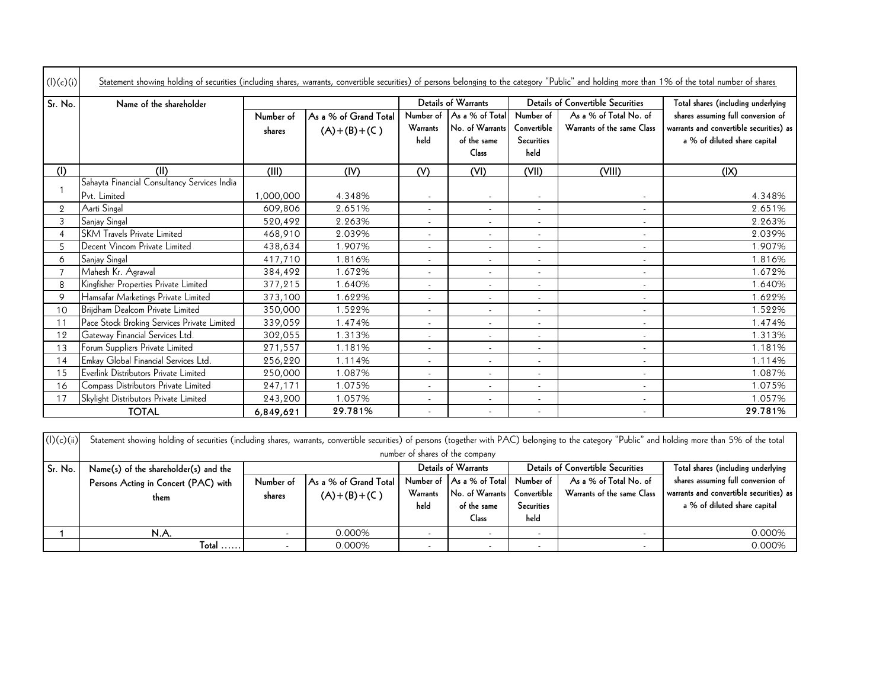| (I)(c)(i)      | Statement showing holding of securities (including shares, warrants, convertible securities) of persons belonging to the category "Public" and holding more than 1% of the total number of shares |           |                       |                          |                                |                                  |                                          |                                                                         |
|----------------|---------------------------------------------------------------------------------------------------------------------------------------------------------------------------------------------------|-----------|-----------------------|--------------------------|--------------------------------|----------------------------------|------------------------------------------|-------------------------------------------------------------------------|
| Sr. No.        | Name of the shareholder                                                                                                                                                                           |           |                       |                          | Details of Warrants            |                                  | <b>Details of Convertible Securities</b> | Total shares (including underlying                                      |
|                |                                                                                                                                                                                                   | Number of | As a % of Grand Total | Number of                | As a % of Total                | Number of                        | As a % of Total No. of                   | shares assuming full conversion of                                      |
|                |                                                                                                                                                                                                   | shares    | $(A)+(B)+(C)$         | Warrants<br>held         | No. of Warrants<br>of the same | Convertible<br><b>Securities</b> | Warrants of the same Class               | warrants and convertible securities) as<br>a % of diluted share capital |
|                |                                                                                                                                                                                                   |           |                       |                          | Class                          | held                             |                                          |                                                                         |
| (1)            | (II)                                                                                                                                                                                              | (III)     | (IV)                  | (V)                      | (VI)                           | (VII)                            | (VIII)                                   | (IX)                                                                    |
|                | Sahayta Financial Consultancy Services India                                                                                                                                                      |           |                       |                          |                                |                                  |                                          |                                                                         |
|                | Pvt. Limited                                                                                                                                                                                      | 1,000,000 | 4.348%                | $\overline{\phantom{a}}$ | $\overline{\phantom{a}}$       | $\overline{\phantom{a}}$         |                                          | 4.348%                                                                  |
| $\overline{2}$ | Aarti Singal                                                                                                                                                                                      | 609,806   | 2.651%                | $\overline{\phantom{a}}$ | $\overline{\phantom{a}}$       | $\overline{\phantom{a}}$         | $\overline{\phantom{a}}$                 | 2.651%                                                                  |
| 3              | Sanjay Singal                                                                                                                                                                                     | 520,492   | 2.263%                | $\overline{\phantom{a}}$ | $\overline{\phantom{a}}$       | $\overline{\phantom{a}}$         |                                          | 2.263%                                                                  |
| $\overline{4}$ | <b>SKM Travels Private Limited</b>                                                                                                                                                                | 468,910   | 2.039%                |                          |                                | $\overline{\phantom{a}}$         |                                          | 2.039%                                                                  |
| 5              | Decent Vincom Private Limited                                                                                                                                                                     | 438,634   | 1.907%                | $\overline{\phantom{a}}$ | $\overline{\phantom{a}}$       | $\overline{\phantom{a}}$         | $\overline{\phantom{a}}$                 | 1.907%                                                                  |
| 6              | Sanjay Singal                                                                                                                                                                                     | 417,710   | 1.816%                |                          | $\overline{\phantom{a}}$       | $\overline{\phantom{a}}$         |                                          | 1.816%                                                                  |
|                | Mahesh Kr. Agrawal                                                                                                                                                                                | 384,492   | 1.672%                | $\overline{\phantom{a}}$ |                                | $\overline{\phantom{a}}$         |                                          | 1.672%                                                                  |
| 8              | Kingfisher Properties Private Limited                                                                                                                                                             | 377,215   | 1.640%                | $\overline{\phantom{a}}$ | $\overline{\phantom{a}}$       | $\overline{\phantom{a}}$         | $\overline{\phantom{a}}$                 | 1.640%                                                                  |
| 9              | Hamsafar Marketings Private Limited                                                                                                                                                               | 373,100   | 1.622%                | $\overline{\phantom{a}}$ | $\blacksquare$                 | $\overline{\phantom{a}}$         |                                          | 1.622%                                                                  |
| 10             | Brijdham Dealcom Private Limited                                                                                                                                                                  | 350,000   | 1.522%                | $\overline{\phantom{a}}$ | $\overline{\phantom{a}}$       | $\overline{\phantom{a}}$         | $\overline{\phantom{a}}$                 | 1.522%                                                                  |
| 11             | Pace Stock Broking Services Private Limited                                                                                                                                                       | 339,059   | 1.474%                | $\overline{\phantom{a}}$ | $\overline{\phantom{a}}$       | $\overline{\phantom{a}}$         | $\overline{\phantom{a}}$                 | 1.474%                                                                  |
| 12             | Gateway Financial Services Ltd.                                                                                                                                                                   | 302,055   | 1.313%                | $\overline{a}$           | $\overline{\phantom{a}}$       | $\overline{a}$                   |                                          | 1.313%                                                                  |
| 13             | Forum Suppliers Private Limited                                                                                                                                                                   | 271,557   | 1.181%                | $\overline{\phantom{a}}$ | $\overline{\phantom{a}}$       | $\overline{\phantom{a}}$         | $\sim$                                   | 1.181%                                                                  |
| 14             | Emkay Global Financial Services Ltd.                                                                                                                                                              | 256,220   | 1.114%                | $\overline{\phantom{a}}$ | $\overline{\phantom{a}}$       | $\overline{\phantom{a}}$         | $\overline{\phantom{a}}$                 | 1.114%                                                                  |
| 15             | Everlink Distributors Private Limited                                                                                                                                                             | 250,000   | 1.087%                |                          | $\overline{\phantom{a}}$       | $\overline{\phantom{a}}$         |                                          | 1.087%                                                                  |
| 16             | Compass Distributors Private Limited                                                                                                                                                              | 247,171   | 1.075%                | $\overline{\phantom{a}}$ | $\overline{\phantom{a}}$       | $\overline{\phantom{a}}$         | $\overline{\phantom{a}}$                 | 1.075%                                                                  |
| 17             | Skylight Distributors Private Limited                                                                                                                                                             | 243,200   | 1.057%                | $\overline{\phantom{a}}$ | $\overline{\phantom{a}}$       | $\overline{\phantom{a}}$         | $\overline{\phantom{a}}$                 | 1.057%                                                                  |
|                | <b>TOTAL</b>                                                                                                                                                                                      | 6,849,621 | 29.781%               |                          |                                |                                  |                                          | 29.781%                                                                 |

| (l)(c)(ii) |                                              | Statement showing holding of securities (including shares, warrants, convertible securities) of persons (together with PAC) belonging to the category "Public" and holding more than 5% of the total<br>number of shares of the company |                                        |                  |                                                                                       |                                   |                                                      |                                                                                                               |
|------------|----------------------------------------------|-----------------------------------------------------------------------------------------------------------------------------------------------------------------------------------------------------------------------------------------|----------------------------------------|------------------|---------------------------------------------------------------------------------------|-----------------------------------|------------------------------------------------------|---------------------------------------------------------------------------------------------------------------|
| Sr. No.    | Name(s) of the shareholder(s) and the        |                                                                                                                                                                                                                                         |                                        |                  | <b>Details of Warrants</b>                                                            |                                   | <b>Details of Convertible Securities</b>             | Total shares (including underlying                                                                            |
|            | Persons Acting in Concert (PAC) with<br>them | Number of<br>shares                                                                                                                                                                                                                     | As a % of Grand Total<br>$(A)+(B)+(C)$ | Warrants<br>held | Number of As a % of Total Number of<br>No. of Warrants<br>of the same<br><b>Class</b> | Convertible<br>Securities<br>held | As a % of Total No. of<br>Warrants of the same Class | shares assuming full conversion of<br>warrants and convertible securities) as<br>a % of diluted share capital |
|            | N.A.                                         |                                                                                                                                                                                                                                         | 0.000%                                 |                  |                                                                                       |                                   |                                                      | 0.000%                                                                                                        |
|            | $Total$                                      |                                                                                                                                                                                                                                         | 0.000%                                 |                  |                                                                                       |                                   |                                                      | 0.000%                                                                                                        |